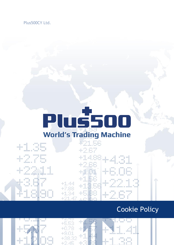# PlussOO

| $\equiv$<br>백               | $\frac{1}{2}$<br>票单数<br>.<br>$-111$<br>T.<br>置<br>無限器設置 群<br>三世目印                                                                                                                      | 無罪 無關措施<br><b>William Barnett</b><br>■■■                                                               |                                          | 421.55<br><b><i>BERNS SHEEK &amp; BER</i></b> REAL<br>new any ounce<br>42.67                                                                                                                                                                                                                                                                                                                         |                                                                                                                                                                                                                 |                                                          |
|-----------------------------|----------------------------------------------------------------------------------------------------------------------------------------------------------------------------------------|--------------------------------------------------------------------------------------------------------|------------------------------------------|------------------------------------------------------------------------------------------------------------------------------------------------------------------------------------------------------------------------------------------------------------------------------------------------------------------------------------------------------------------------------------------------------|-----------------------------------------------------------------------------------------------------------------------------------------------------------------------------------------------------------------|----------------------------------------------------------|
| 用<br>чŔ.<br>""              | <b>ATT 20 DE</b><br><b>TANK AND</b><br>耳<br><b>STATE OF BRIDE</b><br>$\sim$ 10<br>$-1.14$<br>$\mathbb{R}$<br>$\mathbb{R}$<br>$\mathbb{R}^n$<br><b>BERNSHAMEN</b><br>面<br>٠<br>■普遍提言: 言 | 百里田県田 田原田原田<br>×р.<br>期間提供<br><b>SERVICE BR</b><br>■ …… ■<br>目田目                                       |                                          | +1488<br>$128$ $-288$<br>$\pm$ $^{-1}$ $^{-1}$<br>and the con-                                                                                                                                                                                                                                                                                                                                       | 空間の<br>e g<br>÷<br>开始<br>- 10<br>×<br>面<br>田田田田田<br><b>BO</b><br>H<br>日日日田田<br>目<br>鹽<br>罪<br>百页百                                                                                                               | n<br>照顾器<br>草屋<br>$\mathbb{R}$<br>世界照相型                  |
| 目<br>$\equiv$<br>田田田田田<br>Ŧ | 見容器<br>- 1<br><b>START START</b><br>$-1.11$<br>原<br>$\mathbb{R}$<br>$\mathbb{R}$<br>$\mathbb{R}$<br><b>William B</b><br>高信息型                                                           | 패플<br>冒限用<br>- 8<br><b>COLOR AND AND AND</b>                                                           |                                          | magata<br>$+4.01$<br><b>MERNIS &amp; SEN HERES</b><br><b>RALL CO</b><br>n sa pro                                                                                                                                                                                                                                                                                                                     | 日度長<br>容易算<br>J.<br>三十里<br>į<br>и<br><b>MERNS NHHH</b><br>Ě<br>в<br>$-1$<br>ü<br>ш<br>一种用用<br>田田田<br>$\mathbb{H}$                                                                                               | and the<br>经资料预<br>田田田                                   |
| adar<br>N                   | - 10.00 00<br>- 腰田蟹川 超国国税税<br>- 1<br>$\sim$ 1.0<br>亘<br>$\blacksquare$ (3)<br>請請<br>日田加島川<br>$\blacksquare$<br>ш<br>и<br>面<br>--<br>$\mathbb{R}$<br>田原郎<br>自由部门                        | <b>The Company of the Company</b><br>$\frac{1}{2}$<br>$\equiv$                                         | $+1.44$<br>+7.88                         | 减敏素技术 计算机<br>$1 - 11$<br><b>STATISTICS</b><br>axis.<br>MERH RINGS<br>$1 - 1$<br>$-1111$<br><b>HORNEY WERE SEEN</b><br>$\begin{array}{c} \begin{array}{c} \text{matrix} \end{array} \end{array}$<br><b>The American Services</b><br><b>STEP</b><br>(MMM) (HOUSE MAIN)<br>$1 - 11 - 1 - 1$<br><b>SECTION</b><br><b>MILE</b><br>im in<br>前背前前前 16<br>$\mathbf{r}$<br>and the<br>NEEKS NEED N. CHE. HEND | 加盟部<br>四眼皿<br>目<br>1.<br>- 1<br>原<br>and the control of the con-<br>*****<br>$\sim$ 10<br><b>COLLEGE</b><br><b>Contract Contract</b><br>$-10$<br><b>望</b> 1. 100<br><b>国</b> Service<br>re in<br>普拉前回报<br>苗里里苗服 | 四川川<br>现现现<br>B<br>一些有限                                  |
| 抽<br>H                      | 目語面<br>$\cdots$ 11<br>無罪器<br><b>COMPARE</b><br>百<br>π<br>■ → ■<br>頂<br>一面精度。<br>滋<br>H<br>m,<br>$\blacksquare$<br>■■■無料<br>22 03 10                                                    | 請請請<br>当面顶<br>罪<br>罪<br>Ī<br>18<br>$\mathbb{R}$<br>.<br>頭頭頭頭 眼<br>в<br>$-11.8$<br>٠<br>■■■<br>33 OL DE | $\pm\mathbb{I}.\mathbb{S}^d$<br>$+21.47$ | me man<br>$\frac{1}{2}$ . $\frac{1}{2}$<br>in m<br><b>BRE</b><br>1131<br>まには見せ<br>r m mm<br>NORTH SONS INCHES CONS                                                                                                                                                                                                                                                                                   | 双双器<br>$\frac{\pi}{2}$<br>и<br>$\mathbb{R}^n$<br>ベン 闘<br>and the contract of the con-<br>□ 田 原 田 田<br>и<br>無無無無<br>Ŧ<br><b>Billian Company</b><br>目田皇間田<br>日照日                                                  | ■ 要 買 ■ 要 要 買 ■ 要<br>٠<br>and the control<br>×<br>贾<br>亜 |

### Cookie Policy





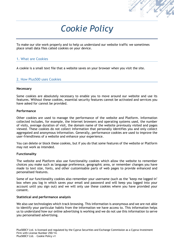

## *Cookie Policy*

To make our site work properly and to help us understand our website traffic we sometimes place small data files called cookies on your device.

#### 1. What are Cookies

A cookie is a small text file that a website saves on your browser when you visit the site.

#### 2. How Plus500 uses Cookies

#### **Necessary**

Some cookies are absolutely necessary to enable you to move around our website and use its features. Without these cookies, essential security features cannot be activated and services you have asked for cannot be provided.

#### **Performance**

Other cookies are used to manage the performance of the website and Platform. Information collected includes, for example, the Internet browsers and operating systems used, the number of visits, average duration of visit, the domain name of the website previously visited and pages viewed. These cookies do not collect information that personally identifies you and only collect aggregated and anonymous information. Generally, performance cookies are used to improve the user-friendliness of a website and enhance your experience.

You can delete or block these cookies, but if you do that some features of the website or Platform may not work as intended.

#### **Functionality**

The website and Platform also use functionality cookies which allow the website to remember choices you make such as language preference, geographic area, or remember changes you have made to text size, fonts, and other customisable parts of web pages to provide enhanced and personalised features.

Some of our functionality cookies also remember your username (such as the "keep me logged in" box when you log in which saves your email and password and will keep you logged into your account until you sign out) and we will only use these cookies where you have provided your consent.

#### **Statistical and performance analysis**

We also use technologies which track browsing. This information is anonymous and we are not able to identify your particular habits from the information we have access to. This information helps us to understand how our online advertising is working and we do not use this information to serve you personalised advertising.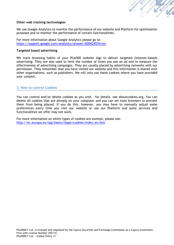

#### **Other web tracking technologies**

We use Google Analytics to monitor the performance of our website and Platform for optimisation purposes and to monitor the performance of certain functionalities.

For more information about Google Analytics please go to: <https://support.google.com/analytics/answer/6004245?hl=en>

#### **Targeted based advertising**

We track browsing habits of your Plus500 website logs to deliver targeted (interest-based) advertising. They are also used to limit the number of times you see an ad and to measure the effectiveness of advertising campaigns. They are usually placed by advertising networks with our permission. They remember that you have visited our website and this information is shared with other organisations, such as publishers. We will only use these cookies where you have provided your consent.

#### 3. How to control Cookies

You can control and/or delete cookies as you wish – for details, see aboutcookies.org. You can delete all cookies that are already on your computer and you can set most browsers to prevent them from being placed. If you do this, however, you may have to manually adjust some preferences every time you visit our website or use our Platform and some services and functionalities we offer may not work.

For more information on which types of cookies are exempt, please see: [http://ec.europa.eu/ipg/basics/legal/cookies/index\\_en.htm](http://ec.europa.eu/ipg/basics/legal/cookies/index_en.htm)